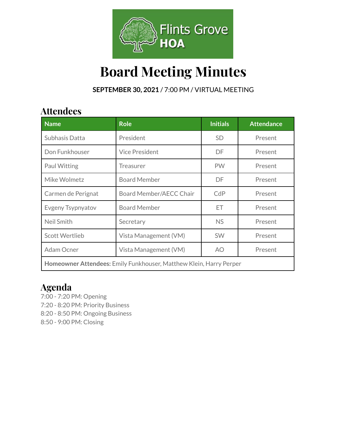

# **Board Meeting Minutes**

**SEPTEMBER 30, 2021** / 7:00 PM / VIRTUAL MEETING

## **Attendees**

| <b>Name</b>                                                        | <b>Role</b>             | <b>Initials</b> | <b>Attendance</b> |  |
|--------------------------------------------------------------------|-------------------------|-----------------|-------------------|--|
| Subhasis Datta                                                     | President               | <b>SD</b>       | Present           |  |
| Don Funkhouser                                                     | <b>Vice President</b>   | DF.             | Present           |  |
| Paul Witting                                                       | Treasurer               | <b>PW</b>       | Present           |  |
| Mike Wolmetz                                                       | <b>Board Member</b>     | <b>DF</b>       | Present           |  |
| Carmen de Perignat                                                 | Board Member/AECC Chair | CdP             | Present           |  |
| Evgeny Tsypnyatov                                                  | <b>Board Member</b>     | ET              | Present           |  |
| Neil Smith                                                         | Secretary               | <b>NS</b>       | Present           |  |
| <b>Scott Wertlieb</b>                                              | Vista Management (VM)   | <b>SW</b>       | Present           |  |
| Adam Ocner                                                         | Vista Management (VM)   | AO.             | Present           |  |
| Homeowner Attendees: Emily Funkhouser, Matthew Klein, Harry Perper |                         |                 |                   |  |

## **Agenda**

7:00 - 7:20 PM: Opening 7:20 - 8:20 PM: Priority Business 8:20 - 8:50 PM: Ongoing Business 8:50 - 9:00 PM: Closing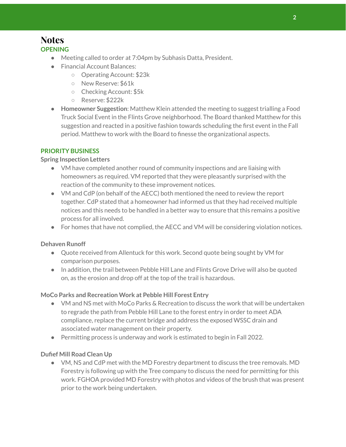#### **Notes OPENING**

- Meeting called to order at 7:04pm by Subhasis Datta, President.
- Financial Account Balances:
	- Operating Account: \$23k
	- New Reserve: \$61k
	- Checking Account: \$5k
	- Reserve: \$222k
- **Homeowner Suggestion**: Matthew Klein attended the meeting to suggest trialling a Food Truck Social Event in the Flints Grove neighborhood. The Board thanked Matthew for this suggestion and reacted in a positive fashion towards scheduling the first event in the Fall period. Matthew to work with the Board to finesse the organizational aspects.

#### **PRIORITY BUSINESS**

#### **Spring Inspection Letters**

- VM have completed another round of community inspections and are liaising with homeowners as required. VM reported that they were pleasantly surprised with the reaction of the community to these improvement notices.
- VM and CdP (on behalf of the AECC) both mentioned the need to review the report together. CdP stated that a homeowner had informed us that they had received multiple notices and this needs to be handled in a better way to ensure that this remains a positive process for all involved.
- For homes that have not complied, the AECC and VM will be considering violation notices.

#### **Dehaven Runoff**

- Quote received from Allentuck for this work. Second quote being sought by VM for comparison purposes.
- In addition, the trail between Pebble Hill Lane and Flints Grove Drive will also be quoted on, as the erosion and drop off at the top of the trail is hazardous.

#### **MoCo Parks and Recreation Work at Pebble Hill Forest Entry**

- VM and NS met with MoCo Parks & Recreation to discuss the work that will be undertaken to regrade the path from Pebble Hill Lane to the forest entry in order to meet ADA compliance, replace the current bridge and address the exposed WSSC drain and associated water management on their property.
- Permitting process is underway and work is estimated to begin in Fall 2022.

#### **Dufief Mill Road Clean Up**

● VM, NS and CdP met with the MD Forestry department to discuss the tree removals. MD Forestry is following up with the Tree company to discuss the need for permitting for this work. FGHOA provided MD Forestry with photos and videos of the brush that was present prior to the work being undertaken.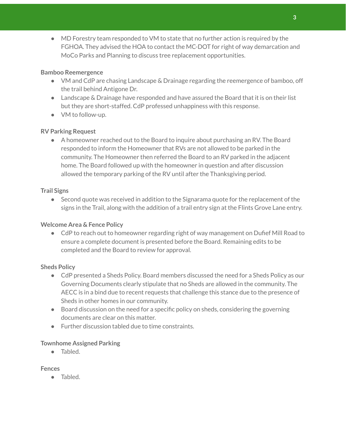● MD Forestry team responded to VM to state that no further action is required by the FGHOA. They advised the HOA to contact the MC-DOT for right of way demarcation and MoCo Parks and Planning to discuss tree replacement opportunities.

#### **Bamboo Reemergence**

- VM and CdP are chasing Landscape & Drainage regarding the reemergence of bamboo, off the trail behind Antigone Dr.
- Landscape & Drainage have responded and have assured the Board that it is on their list but they are short-staffed. CdP professed unhappiness with this response.
- VM to follow-up.

#### **RV Parking Request**

● A homeowner reached out to the Board to inquire about purchasing an RV. The Board responded to inform the Homeowner that RVs are not allowed to be parked in the community. The Homeowner then referred the Board to an RV parked in the adjacent home. The Board followed up with the homeowner in question and after discussion allowed the temporary parking of the RV until after the Thanksgiving period.

#### **Trail Signs**

● Second quote was received in addition to the Signarama quote for the replacement of the signs in the Trail, along with the addition of a trail entry sign at the Flints Grove Lane entry.

#### **Welcome Area & Fence Policy**

● CdP to reach out to homeowner regarding right of way management on Dufief Mill Road to ensure a complete document is presented before the Board. Remaining edits to be completed and the Board to review for approval.

#### **Sheds Policy**

- CdP presented a Sheds Policy. Board members discussed the need for a Sheds Policy as our Governing Documents clearly stipulate that no Sheds are allowed in the community. The AECC is in a bind due to recent requests that challenge this stance due to the presence of Sheds in other homes in our community.
- Board discussion on the need for a specific policy on sheds, considering the governing documents are clear on this matter.
- Further discussion tabled due to time constraints.

#### **Townhome Assigned Parking**

● Tabled.

#### **Fences**

● Tabled.